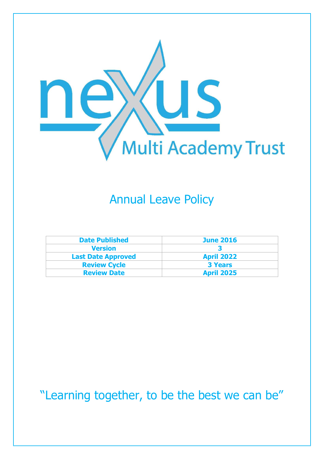

## Annual Leave Policy

| <b>Date Published</b>     | <b>June 2016</b>  |  |
|---------------------------|-------------------|--|
| <b>Version</b>            |                   |  |
| <b>Last Date Approved</b> | <b>April 2022</b> |  |
| <b>Review Cycle</b>       | <b>3 Years</b>    |  |
| <b>Review Date</b>        | <b>April 2025</b> |  |

"Learning together, to be the best we can be"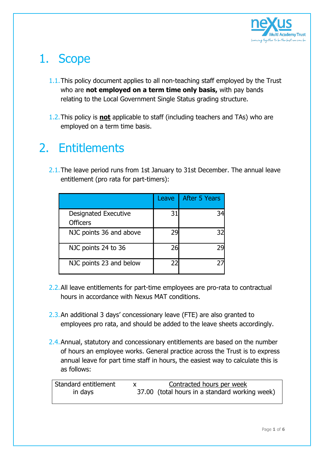

## 1. Scope

- 1.1.This policy document applies to all non-teaching staff employed by the Trust who are **not employed on a term time only basis,** with pay bands relating to the Local Government Single Status grading structure.
- 1.2.This policy is **not** applicable to staff (including teachers and TAs) who are employed on a term time basis.

## 2. Entitlements

2.1. The leave period runs from 1st January to 31st December. The annual leave entitlement (pro rata for part-timers):

|                                                | Leave | <b>After 5 Years</b> |
|------------------------------------------------|-------|----------------------|
| <b>Designated Executive</b><br><b>Officers</b> | 31    |                      |
| NJC points 36 and above                        | 29    | 32                   |
| NJC points 24 to 36                            | 26    |                      |
| NJC points 23 and below                        | 22    |                      |

- 2.2.All leave entitlements for part-time employees are pro-rata to contractual hours in accordance with Nexus MAT conditions.
- 2.3.An additional 3 days' concessionary leave (FTE) are also granted to employees pro rata, and should be added to the leave sheets accordingly.
- 2.4. Annual, statutory and concessionary entitlements are based on the number of hours an employee works. General practice across the Trust is to express annual leave for part time staff in hours, the easiest way to calculate this is as follows:

| Standard entitlement | Contracted hours per week                      |
|----------------------|------------------------------------------------|
| in days              | 37.00 (total hours in a standard working week) |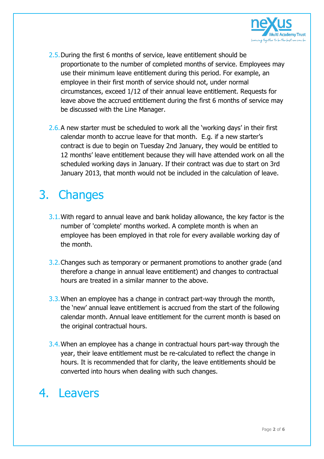

- 2.5.During the first 6 months of service, leave entitlement should be proportionate to the number of completed months of service. Employees may use their minimum leave entitlement during this period. For example, an employee in their first month of service should not, under normal circumstances, exceed 1/12 of their annual leave entitlement. Requests for leave above the accrued entitlement during the first 6 months of service may be discussed with the Line Manager.
- 2.6.A new starter must be scheduled to work all the 'working days' in their first calendar month to accrue leave for that month. E.g. if a new starter's contract is due to begin on Tuesday 2nd January, they would be entitled to 12 months' leave entitlement because they will have attended work on all the scheduled working days in January. If their contract was due to start on 3rd January 2013, that month would not be included in the calculation of leave.

## 3. Changes

- 3.1.With regard to annual leave and bank holiday allowance, the key factor is the number of 'complete' months worked. A complete month is when an employee has been employed in that role for every available working day of the month.
- 3.2.Changes such as temporary or permanent promotions to another grade (and therefore a change in annual leave entitlement) and changes to contractual hours are treated in a similar manner to the above.
- 3.3.When an employee has a change in contract part-way through the month, the 'new' annual leave entitlement is accrued from the start of the following calendar month. Annual leave entitlement for the current month is based on the original contractual hours.
- 3.4.When an employee has a change in contractual hours part-way through the year, their leave entitlement must be re-calculated to reflect the change in hours. It is recommended that for clarity, the leave entitlements should be converted into hours when dealing with such changes.

### 4. Leavers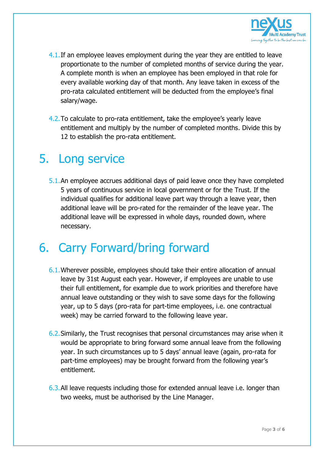

- 4.1. If an employee leaves employment during the year they are entitled to leave proportionate to the number of completed months of service during the year. A complete month is when an employee has been employed in that role for every available working day of that month. Any leave taken in excess of the pro-rata calculated entitlement will be deducted from the employee's final salary/wage.
- 4.2.To calculate to pro-rata entitlement, take the employee's yearly leave entitlement and multiply by the number of completed months. Divide this by 12 to establish the pro-rata entitlement.

#### 5. Long service

5.1.An employee accrues additional days of paid leave once they have completed 5 years of continuous service in local government or for the Trust. If the individual qualifies for additional leave part way through a leave year, then additional leave will be pro-rated for the remainder of the leave year. The additional leave will be expressed in whole days, rounded down, where necessary.

### 6. Carry Forward/bring forward

- 6.1.Wherever possible, employees should take their entire allocation of annual leave by 31st August each year. However, if employees are unable to use their full entitlement, for example due to work priorities and therefore have annual leave outstanding or they wish to save some days for the following year, up to 5 days (pro-rata for part-time employees, i.e. one contractual week) may be carried forward to the following leave year.
- 6.2.Similarly, the Trust recognises that personal circumstances may arise when it would be appropriate to bring forward some annual leave from the following year. In such circumstances up to 5 days' annual leave (again, pro-rata for part-time employees) may be brought forward from the following year's entitlement.
- 6.3.All leave requests including those for extended annual leave i.e. longer than two weeks, must be authorised by the Line Manager.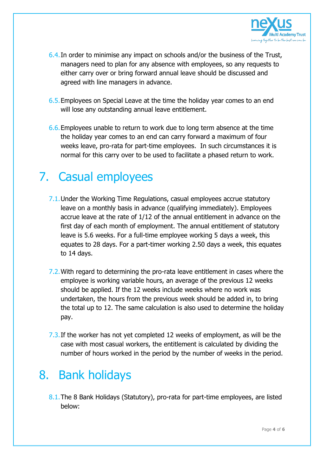

- 6.4.In order to minimise any impact on schools and/or the business of the Trust, managers need to plan for any absence with employees, so any requests to either carry over or bring forward annual leave should be discussed and agreed with line managers in advance.
- 6.5.Employees on Special Leave at the time the holiday year comes to an end will lose any outstanding annual leave entitlement.
- 6.6.Employees unable to return to work due to long term absence at the time the holiday year comes to an end can carry forward a maximum of four weeks leave, pro-rata for part-time employees. In such circumstances it is normal for this carry over to be used to facilitate a phased return to work.

# 7. Casual employees

- 7.1.Under the Working Time Regulations, casual employees accrue statutory leave on a monthly basis in advance (qualifying immediately). Employees accrue leave at the rate of 1/12 of the annual entitlement in advance on the first day of each month of employment. The annual entitlement of statutory leave is 5.6 weeks. For a full-time employee working 5 days a week, this equates to 28 days. For a part-timer working 2.50 days a week, this equates to 14 days.
- 7.2.With regard to determining the pro-rata leave entitlement in cases where the employee is working variable hours, an average of the previous 12 weeks should be applied. If the 12 weeks include weeks where no work was undertaken, the hours from the previous week should be added in, to bring the total up to 12. The same calculation is also used to determine the holiday pay.
- 7.3.If the worker has not yet completed 12 weeks of employment, as will be the case with most casual workers, the entitlement is calculated by dividing the number of hours worked in the period by the number of weeks in the period.

### 8. Bank holidays

8.1.The 8 Bank Holidays (Statutory), pro-rata for part-time employees, are listed below: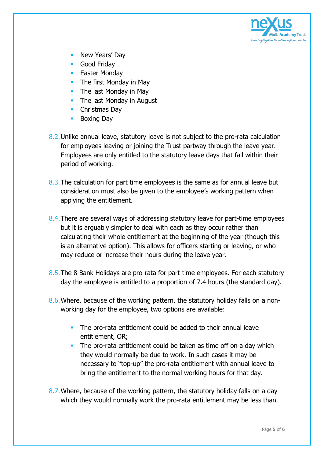

- New Years' Day
- **Good Friday**
- **Easter Monday**
- The first Monday in May
- $\blacksquare$  The last Monday in May
- The last Monday in August
- **Christmas Day**
- Boxing Day
- 8.2. Unlike annual leave, statutory leave is not subject to the pro-rata calculation for employees leaving or joining the Trust partway through the leave year. Employees are only entitled to the statutory leave days that fall within their period of working.
- 8.3. The calculation for part time employees is the same as for annual leave but consideration must also be given to the employee's working pattern when applying the entitlement.
- 8.4.There are several ways of addressing statutory leave for part-time employees but it is arguably simpler to deal with each as they occur rather than calculating their whole entitlement at the beginning of the year (though this is an alternative option). This allows for officers starting or leaving, or who may reduce or increase their hours during the leave year.
- 8.5.The 8 Bank Holidays are pro-rata for part-time employees. For each statutory day the employee is entitled to a proportion of 7.4 hours (the standard day).
- 8.6.Where, because of the working pattern, the statutory holiday falls on a nonworking day for the employee, two options are available:
	- The pro-rata entitlement could be added to their annual leave entitlement, OR;
	- The pro-rata entitlement could be taken as time off on a day which they would normally be due to work. In such cases it may be necessary to "top-up" the pro-rata entitlement with annual leave to bring the entitlement to the normal working hours for that day.
- 8.7.Where, because of the working pattern, the statutory holiday falls on a day which they would normally work the pro-rata entitlement may be less than